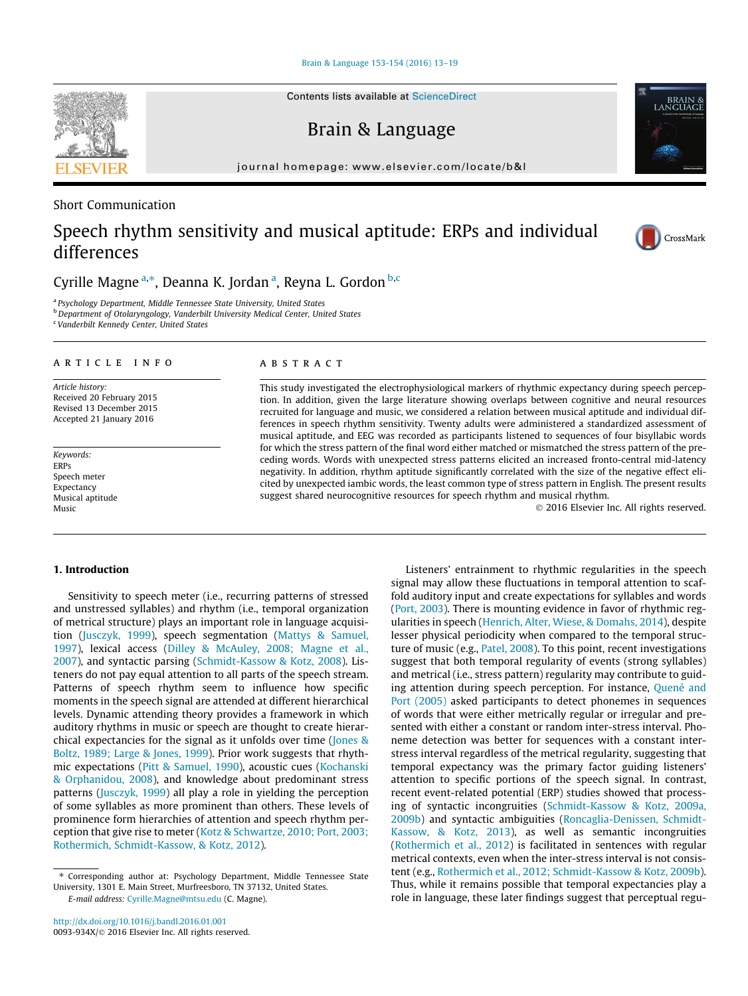[Brain & Language 153-154 \(2016\) 13–19](http://dx.doi.org/10.1016/j.bandl.2016.01.001)

Brain & Language

journal homepage: [www.elsevier.com/locate/b&l](http://www.elsevier.com/locate/b&l)

# Short Communication

# Speech rhythm sensitivity and musical aptitude: ERPs and individual differences

Cyrille Magne <sup>a,\*</sup>, Deanna K. Jordan <sup>a</sup>, Reyna L. Gordon <sup>b,c</sup>

<sup>a</sup> Psychology Department, Middle Tennessee State University, United States

**b** Department of Otolaryngology, Vanderbilt University Medical Center, United States

<sup>c</sup> Vanderbilt Kennedy Center, United States

# article info

Article history: Received 20 February 2015 Revised 13 December 2015 Accepted 21 January 2016

Keywords: ERPs Speech meter Expectancy Musical aptitude Music

#### **ABSTRACT**

This study investigated the electrophysiological markers of rhythmic expectancy during speech perception. In addition, given the large literature showing overlaps between cognitive and neural resources recruited for language and music, we considered a relation between musical aptitude and individual differences in speech rhythm sensitivity. Twenty adults were administered a standardized assessment of musical aptitude, and EEG was recorded as participants listened to sequences of four bisyllabic words for which the stress pattern of the final word either matched or mismatched the stress pattern of the preceding words. Words with unexpected stress patterns elicited an increased fronto-central mid-latency negativity. In addition, rhythm aptitude significantly correlated with the size of the negative effect elicited by unexpected iambic words, the least common type of stress pattern in English. The present results suggest shared neurocognitive resources for speech rhythm and musical rhythm.

2016 Elsevier Inc. All rights reserved.

## 1. Introduction

Sensitivity to speech meter (i.e., recurring patterns of stressed and unstressed syllables) and rhythm (i.e., temporal organization of metrical structure) plays an important role in language acquisition ([Jusczyk, 1999](#page-5-0)), speech segmentation [\(Mattys & Samuel,](#page-6-0) [1997\)](#page-6-0), lexical access ([Dilley & McAuley, 2008; Magne et al.,](#page-5-0) [2007](#page-5-0)), and syntactic parsing ([Schmidt-Kassow & Kotz, 2008](#page-6-0)). Listeners do not pay equal attention to all parts of the speech stream. Patterns of speech rhythm seem to influence how specific moments in the speech signal are attended at different hierarchical levels. Dynamic attending theory provides a framework in which auditory rhythms in music or speech are thought to create hierarchical expectancies for the signal as it unfolds over time [\(Jones &](#page-5-0) [Boltz, 1989; Large & Jones, 1999\)](#page-5-0). Prior work suggests that rhythmic expectations ([Pitt & Samuel, 1990](#page-6-0)), acoustic cues [\(Kochanski](#page-5-0) [& Orphanidou, 2008\)](#page-5-0), and knowledge about predominant stress patterns ([Jusczyk, 1999](#page-5-0)) all play a role in yielding the perception of some syllables as more prominent than others. These levels of prominence form hierarchies of attention and speech rhythm perception that give rise to meter ([Kotz & Schwartze, 2010; Port, 2003;](#page-5-0) [Rothermich, Schmidt-Kassow, & Kotz, 2012](#page-5-0)).

signal may allow these fluctuations in temporal attention to scaffold auditory input and create expectations for syllables and words ([Port, 2003](#page-6-0)). There is mounting evidence in favor of rhythmic regularities in speech [\(Henrich, Alter, Wiese, & Domahs, 2014](#page-5-0)), despite lesser physical periodicity when compared to the temporal structure of music (e.g., [Patel, 2008](#page-6-0)). To this point, recent investigations suggest that both temporal regularity of events (strong syllables) and metrical (i.e., stress pattern) regularity may contribute to guiding attention during speech perception. For instance, [Quené and](#page-6-0) [Port \(2005\)](#page-6-0) asked participants to detect phonemes in sequences of words that were either metrically regular or irregular and presented with either a constant or random inter-stress interval. Phoneme detection was better for sequences with a constant interstress interval regardless of the metrical regularity, suggesting that temporal expectancy was the primary factor guiding listeners' attention to specific portions of the speech signal. In contrast, recent event-related potential (ERP) studies showed that processing of syntactic incongruities ([Schmidt-Kassow & Kotz, 2009a,](#page-6-0) [2009b](#page-6-0)) and syntactic ambiguities ([Roncaglia-Denissen, Schmidt-](#page-6-0)[Kassow, & Kotz, 2013\)](#page-6-0), as well as semantic incongruities ([Rothermich et al., 2012\)](#page-6-0) is facilitated in sentences with regular metrical contexts, even when the inter-stress interval is not consistent (e.g., [Rothermich et al., 2012; Schmidt-Kassow & Kotz, 2009b\)](#page-6-0). Thus, while it remains possible that temporal expectancies play a role in language, these later findings suggest that perceptual regu-

Listeners' entrainment to rhythmic regularities in the speech







<sup>⇑</sup> Corresponding author at: Psychology Department, Middle Tennessee State University, 1301 E. Main Street, Murfreesboro, TN 37132, United States. E-mail address: [Cyrille.Magne@mtsu.edu](mailto:Cyrille.Magne@mtsu.edu) (C. Magne).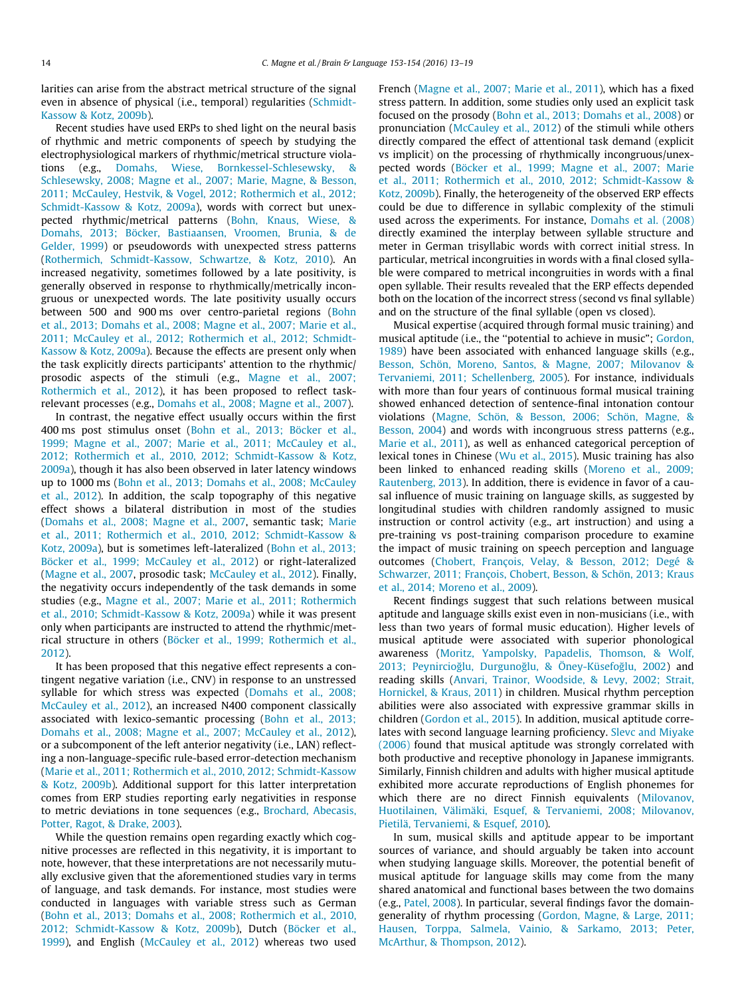larities can arise from the abstract metrical structure of the signal even in absence of physical (i.e., temporal) regularities [\(Schmidt-](#page-6-0)[Kassow & Kotz, 2009b](#page-6-0)).

Recent studies have used ERPs to shed light on the neural basis of rhythmic and metric components of speech by studying the electrophysiological markers of rhythmic/metrical structure violations (e.g., [Domahs, Wiese, Bornkessel-Schlesewsky, &](#page-5-0) [Schlesewsky, 2008; Magne et al., 2007; Marie, Magne, & Besson,](#page-5-0) [2011; McCauley, Hestvik, & Vogel, 2012; Rothermich et al., 2012;](#page-5-0) [Schmidt-Kassow & Kotz, 2009a\)](#page-5-0), words with correct but unexpected rhythmic/metrical patterns [\(Bohn, Knaus, Wiese, &](#page-5-0) [Domahs, 2013; Böcker, Bastiaansen, Vroomen, Brunia, & de](#page-5-0) [Gelder, 1999\)](#page-5-0) or pseudowords with unexpected stress patterns ([Rothermich, Schmidt-Kassow, Schwartze, & Kotz, 2010](#page-6-0)). An increased negativity, sometimes followed by a late positivity, is generally observed in response to rhythmically/metrically incongruous or unexpected words. The late positivity usually occurs between 500 and 900 ms over centro-parietal regions [\(Bohn](#page-5-0) [et al., 2013; Domahs et al., 2008; Magne et al., 2007; Marie et al.,](#page-5-0) [2011; McCauley et al., 2012; Rothermich et al., 2012; Schmidt-](#page-5-0)[Kassow & Kotz, 2009a](#page-5-0)). Because the effects are present only when the task explicitly directs participants' attention to the rhythmic/ prosodic aspects of the stimuli (e.g., [Magne et al., 2007;](#page-6-0) [Rothermich et al., 2012\)](#page-6-0), it has been proposed to reflect taskrelevant processes (e.g., [Domahs et al., 2008; Magne et al., 2007\)](#page-5-0).

In contrast, the negative effect usually occurs within the first 400 ms post stimulus onset ([Bohn et al., 2013; Böcker et al.,](#page-5-0) [1999; Magne et al., 2007; Marie et al., 2011; McCauley et al.,](#page-5-0) [2012; Rothermich et al., 2010, 2012; Schmidt-Kassow & Kotz,](#page-5-0) [2009a\)](#page-5-0), though it has also been observed in later latency windows up to 1000 ms ([Bohn et al., 2013; Domahs et al., 2008; McCauley](#page-5-0) [et al., 2012\)](#page-5-0). In addition, the scalp topography of this negative effect shows a bilateral distribution in most of the studies ([Domahs et al., 2008; Magne et al., 2007,](#page-5-0) semantic task; [Marie](#page-6-0) [et al., 2011; Rothermich et al., 2010, 2012; Schmidt-Kassow &](#page-6-0) [Kotz, 2009a\)](#page-6-0), but is sometimes left-lateralized ([Bohn et al., 2013;](#page-5-0) [Böcker et al., 1999; McCauley et al., 2012\)](#page-5-0) or right-lateralized ([Magne et al., 2007](#page-6-0), prosodic task; [McCauley et al., 2012\)](#page-6-0). Finally, the negativity occurs independently of the task demands in some studies (e.g., [Magne et al., 2007; Marie et al., 2011; Rothermich](#page-6-0) [et al., 2010; Schmidt-Kassow & Kotz, 2009a\)](#page-6-0) while it was present only when participants are instructed to attend the rhythmic/metrical structure in others [\(Böcker et al., 1999; Rothermich et al.,](#page-5-0) [2012\)](#page-5-0).

It has been proposed that this negative effect represents a contingent negative variation (i.e., CNV) in response to an unstressed syllable for which stress was expected [\(Domahs et al., 2008;](#page-5-0) [McCauley et al., 2012](#page-5-0)), an increased N400 component classically associated with lexico-semantic processing ([Bohn et al., 2013;](#page-5-0) [Domahs et al., 2008; Magne et al., 2007; McCauley et al., 2012\)](#page-5-0), or a subcomponent of the left anterior negativity (i.e., LAN) reflecting a non-language-specific rule-based error-detection mechanism ([Marie et al., 2011; Rothermich et al., 2010, 2012; Schmidt-Kassow](#page-6-0) [& Kotz, 2009b\)](#page-6-0). Additional support for this latter interpretation comes from ERP studies reporting early negativities in response to metric deviations in tone sequences (e.g., [Brochard, Abecasis,](#page-5-0) [Potter, Ragot, & Drake, 2003\)](#page-5-0).

While the question remains open regarding exactly which cognitive processes are reflected in this negativity, it is important to note, however, that these interpretations are not necessarily mutually exclusive given that the aforementioned studies vary in terms of language, and task demands. For instance, most studies were conducted in languages with variable stress such as German ([Bohn et al., 2013; Domahs et al., 2008; Rothermich et al., 2010,](#page-5-0) [2012; Schmidt-Kassow & Kotz, 2009b\)](#page-5-0), Dutch [\(Böcker et al.,](#page-5-0) [1999\)](#page-5-0), and English [\(McCauley et al., 2012\)](#page-6-0) whereas two used

French [\(Magne et al., 2007; Marie et al., 2011](#page-6-0)), which has a fixed stress pattern. In addition, some studies only used an explicit task focused on the prosody ([Bohn et al., 2013; Domahs et al., 2008](#page-5-0)) or pronunciation [\(McCauley et al., 2012\)](#page-6-0) of the stimuli while others directly compared the effect of attentional task demand (explicit vs implicit) on the processing of rhythmically incongruous/unexpected words ([Böcker et al., 1999; Magne et al., 2007; Marie](#page-5-0) [et al., 2011; Rothermich et al., 2010, 2012; Schmidt-Kassow &](#page-5-0) [Kotz, 2009b](#page-5-0)). Finally, the heterogeneity of the observed ERP effects could be due to difference in syllabic complexity of the stimuli used across the experiments. For instance, [Domahs et al. \(2008\)](#page-5-0) directly examined the interplay between syllable structure and meter in German trisyllabic words with correct initial stress. In particular, metrical incongruities in words with a final closed syllable were compared to metrical incongruities in words with a final open syllable. Their results revealed that the ERP effects depended both on the location of the incorrect stress (second vs final syllable) and on the structure of the final syllable (open vs closed).

Musical expertise (acquired through formal music training) and musical aptitude (i.e., the ''potential to achieve in music"; [Gordon,](#page-5-0) [1989\)](#page-5-0) have been associated with enhanced language skills (e.g., [Besson, Schön, Moreno, Santos, & Magne, 2007; Milovanov &](#page-5-0) [Tervaniemi, 2011; Schellenberg, 2005\)](#page-5-0). For instance, individuals with more than four years of continuous formal musical training showed enhanced detection of sentence-final intonation contour violations [\(Magne, Schön, & Besson, 2006; Schön, Magne, &](#page-6-0) [Besson, 2004](#page-6-0)) and words with incongruous stress patterns (e.g., [Marie et al., 2011\)](#page-6-0), as well as enhanced categorical perception of lexical tones in Chinese ([Wu et al., 2015](#page-6-0)). Music training has also been linked to enhanced reading skills ([Moreno et al., 2009;](#page-6-0) [Rautenberg, 2013](#page-6-0)). In addition, there is evidence in favor of a causal influence of music training on language skills, as suggested by longitudinal studies with children randomly assigned to music instruction or control activity (e.g., art instruction) and using a pre-training vs post-training comparison procedure to examine the impact of music training on speech perception and language outcomes ([Chobert, François, Velay, & Besson, 2012; Degé &](#page-5-0) [Schwarzer, 2011; François, Chobert, Besson, & Schön, 2013; Kraus](#page-5-0) [et al., 2014; Moreno et al., 2009](#page-5-0)).

Recent findings suggest that such relations between musical aptitude and language skills exist even in non-musicians (i.e., with less than two years of formal music education). Higher levels of musical aptitude were associated with superior phonological awareness ([Moritz, Yampolsky, Papadelis, Thomson, & Wolf,](#page-6-0) 2013; Peynircioğlu, Durgunoğlu, & Öney-Küsefoğlu, 2002) and reading skills [\(Anvari, Trainor, Woodside, & Levy, 2002; Strait,](#page-5-0) [Hornickel, & Kraus, 2011\)](#page-5-0) in children. Musical rhythm perception abilities were also associated with expressive grammar skills in children [\(Gordon et al., 2015\)](#page-5-0). In addition, musical aptitude correlates with second language learning proficiency. [Slevc and Miyake](#page-6-0) [\(2006\)](#page-6-0) found that musical aptitude was strongly correlated with both productive and receptive phonology in Japanese immigrants. Similarly, Finnish children and adults with higher musical aptitude exhibited more accurate reproductions of English phonemes for which there are no direct Finnish equivalents [\(Milovanov,](#page-6-0) [Huotilainen, Välimäki, Esquef, & Tervaniemi, 2008; Milovanov,](#page-6-0) [Pietilä, Tervaniemi, & Esquef, 2010\)](#page-6-0).

In sum, musical skills and aptitude appear to be important sources of variance, and should arguably be taken into account when studying language skills. Moreover, the potential benefit of musical aptitude for language skills may come from the many shared anatomical and functional bases between the two domains (e.g., [Patel, 2008\)](#page-6-0). In particular, several findings favor the domaingenerality of rhythm processing [\(Gordon, Magne, & Large, 2011;](#page-5-0) [Hausen, Torppa, Salmela, Vainio, & Sarkamo, 2013; Peter,](#page-5-0) [McArthur, & Thompson, 2012](#page-5-0)).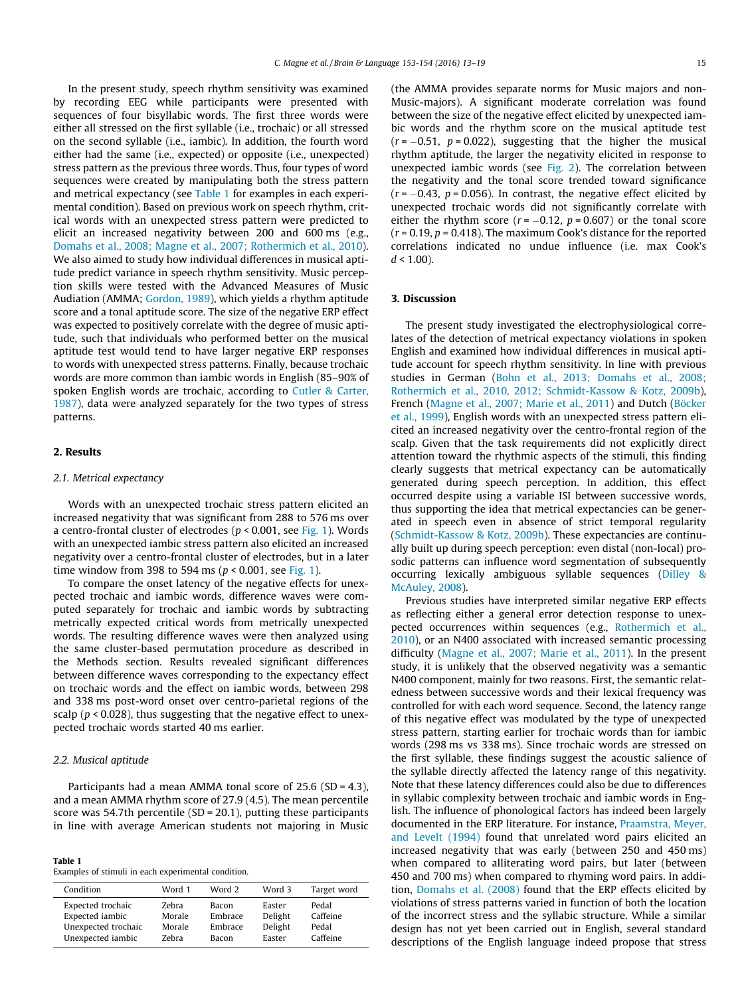In the present study, speech rhythm sensitivity was examined by recording EEG while participants were presented with sequences of four bisyllabic words. The first three words were either all stressed on the first syllable (i.e., trochaic) or all stressed on the second syllable (i.e., iambic). In addition, the fourth word either had the same (i.e., expected) or opposite (i.e., unexpected) stress pattern as the previous three words. Thus, four types of word sequences were created by manipulating both the stress pattern and metrical expectancy (see Table 1 for examples in each experimental condition). Based on previous work on speech rhythm, critical words with an unexpected stress pattern were predicted to elicit an increased negativity between 200 and 600 ms (e.g., [Domahs et al., 2008; Magne et al., 2007; Rothermich et al., 2010\)](#page-5-0). We also aimed to study how individual differences in musical aptitude predict variance in speech rhythm sensitivity. Music perception skills were tested with the Advanced Measures of Music Audiation (AMMA; [Gordon, 1989](#page-5-0)), which yields a rhythm aptitude score and a tonal aptitude score. The size of the negative ERP effect was expected to positively correlate with the degree of music aptitude, such that individuals who performed better on the musical aptitude test would tend to have larger negative ERP responses to words with unexpected stress patterns. Finally, because trochaic words are more common than iambic words in English (85–90% of spoken English words are trochaic, according to [Cutler & Carter,](#page-5-0) [1987\)](#page-5-0), data were analyzed separately for the two types of stress patterns.

# 2. Results

#### 2.1. Metrical expectancy

Words with an unexpected trochaic stress pattern elicited an increased negativity that was significant from 288 to 576 ms over a centro-frontal cluster of electrodes ( $p < 0.001$ , see [Fig. 1](#page-3-0)). Words with an unexpected iambic stress pattern also elicited an increased negativity over a centro-frontal cluster of electrodes, but in a later time window from 398 to 594 ms ( $p < 0.001$ , see [Fig. 1\)](#page-3-0).

To compare the onset latency of the negative effects for unexpected trochaic and iambic words, difference waves were computed separately for trochaic and iambic words by subtracting metrically expected critical words from metrically unexpected words. The resulting difference waves were then analyzed using the same cluster-based permutation procedure as described in the Methods section. Results revealed significant differences between difference waves corresponding to the expectancy effect on trochaic words and the effect on iambic words, between 298 and 338 ms post-word onset over centro-parietal regions of the scalp ( $p$  < 0.028), thus suggesting that the negative effect to unexpected trochaic words started 40 ms earlier.

# 2.2. Musical aptitude

Participants had a mean AMMA tonal score of 25.6 (SD = 4.3), and a mean AMMA rhythm score of 27.9 (4.5). The mean percentile score was 54.7th percentile (SD = 20.1), putting these participants in line with average American students not majoring in Music

| Table 1                                             |
|-----------------------------------------------------|
| Examples of stimuli in each experimental condition. |

| Condition           | Word 1       | Word 2  | Word 3  | Target word |
|---------------------|--------------|---------|---------|-------------|
| Expected trochaic   | Zebra        | Bacon   | Easter  | Pedal       |
| Expected iambic     | Morale       | Embrace | Delight | Caffeine    |
| Unexpected trochaic | Morale       | Embrace | Delight | Pedal       |
| Unexpected iambic   | <b>Zebra</b> | Bacon   | Easter  | Caffeine    |

(the AMMA provides separate norms for Music majors and non-Music-majors). A significant moderate correlation was found between the size of the negative effect elicited by unexpected iambic words and the rhythm score on the musical aptitude test  $(r = -0.51, p = 0.022)$ , suggesting that the higher the musical rhythm aptitude, the larger the negativity elicited in response to unexpected iambic words (see [Fig. 2\)](#page-3-0). The correlation between the negativity and the tonal score trended toward significance  $(r = -0.43, p = 0.056)$ . In contrast, the negative effect elicited by unexpected trochaic words did not significantly correlate with either the rhythm score  $(r = -0.12, p = 0.607)$  or the tonal score  $(r = 0.19, p = 0.418)$ . The maximum Cook's distance for the reported correlations indicated no undue influence (i.e. max Cook's  $d < 1.00$ ).

#### 3. Discussion

The present study investigated the electrophysiological correlates of the detection of metrical expectancy violations in spoken English and examined how individual differences in musical aptitude account for speech rhythm sensitivity. In line with previous studies in German [\(Bohn et al., 2013; Domahs et al., 2008;](#page-5-0) [Rothermich et al., 2010, 2012; Schmidt-Kassow & Kotz, 2009b\)](#page-5-0), French ([Magne et al., 2007; Marie et al., 2011](#page-6-0)) and Dutch [\(Böcker](#page-5-0) [et al., 1999\)](#page-5-0), English words with an unexpected stress pattern elicited an increased negativity over the centro-frontal region of the scalp. Given that the task requirements did not explicitly direct attention toward the rhythmic aspects of the stimuli, this finding clearly suggests that metrical expectancy can be automatically generated during speech perception. In addition, this effect occurred despite using a variable ISI between successive words, thus supporting the idea that metrical expectancies can be generated in speech even in absence of strict temporal regularity ([Schmidt-Kassow & Kotz, 2009b](#page-6-0)). These expectancies are continually built up during speech perception: even distal (non-local) prosodic patterns can influence word segmentation of subsequently occurring lexically ambiguous syllable sequences [\(Dilley &](#page-5-0) [McAuley, 2008\)](#page-5-0).

Previous studies have interpreted similar negative ERP effects as reflecting either a general error detection response to unexpected occurrences within sequences (e.g., [Rothermich et al.,](#page-6-0) [2010](#page-6-0)), or an N400 associated with increased semantic processing difficulty ([Magne et al., 2007; Marie et al., 2011](#page-6-0)). In the present study, it is unlikely that the observed negativity was a semantic N400 component, mainly for two reasons. First, the semantic relatedness between successive words and their lexical frequency was controlled for with each word sequence. Second, the latency range of this negative effect was modulated by the type of unexpected stress pattern, starting earlier for trochaic words than for iambic words (298 ms vs 338 ms). Since trochaic words are stressed on the first syllable, these findings suggest the acoustic salience of the syllable directly affected the latency range of this negativity. Note that these latency differences could also be due to differences in syllabic complexity between trochaic and iambic words in English. The influence of phonological factors has indeed been largely documented in the ERP literature. For instance, [Praamstra, Meyer,](#page-6-0) [and Levelt \(1994\)](#page-6-0) found that unrelated word pairs elicited an increased negativity that was early (between 250 and 450 ms) when compared to alliterating word pairs, but later (between 450 and 700 ms) when compared to rhyming word pairs. In addition, [Domahs et al. \(2008\)](#page-5-0) found that the ERP effects elicited by violations of stress patterns varied in function of both the location of the incorrect stress and the syllabic structure. While a similar design has not yet been carried out in English, several standard descriptions of the English language indeed propose that stress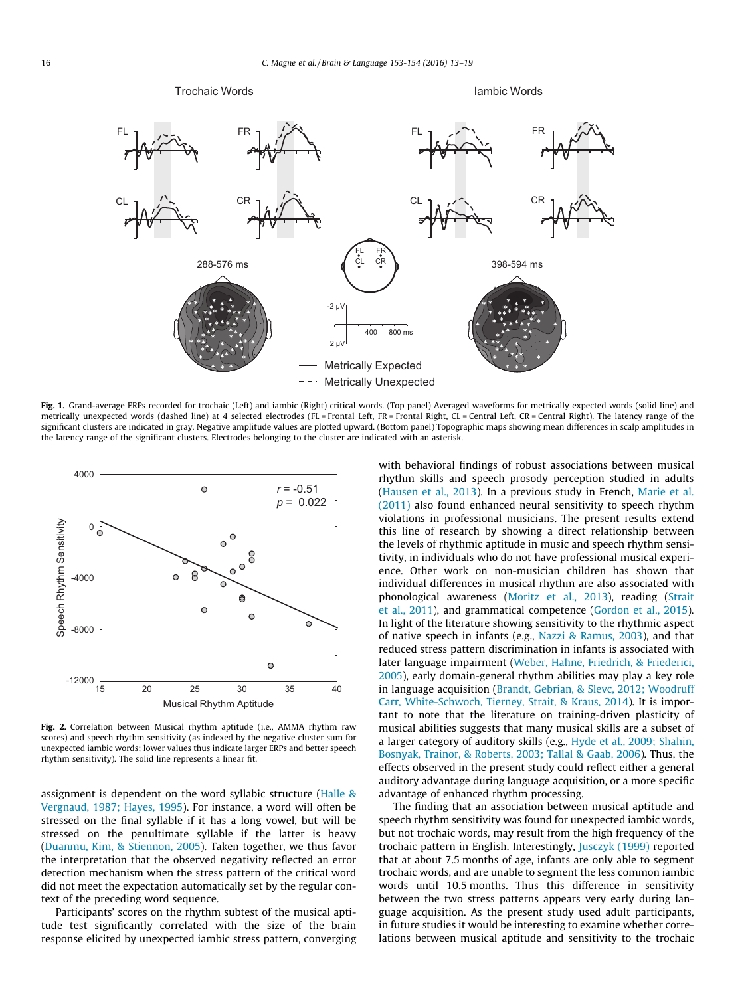<span id="page-3-0"></span>

Fig. 1. Grand-average ERPs recorded for trochaic (Left) and iambic (Right) critical words. (Top panel) Averaged waveforms for metrically expected words (solid line) and metrically unexpected words (dashed line) at 4 selected electrodes (FL = Frontal Left, FR = Frontal Right, CL = Central Left, CR = Central Right). The latency range of the significant clusters are indicated in gray. Negative amplitude values are plotted upward. (Bottom panel) Topographic maps showing mean differences in scalp amplitudes in the latency range of the significant clusters. Electrodes belonging to the cluster are indicated with an asterisk.



Fig. 2. Correlation between Musical rhythm aptitude (i.e., AMMA rhythm raw scores) and speech rhythm sensitivity (as indexed by the negative cluster sum for unexpected iambic words; lower values thus indicate larger ERPs and better speech rhythm sensitivity). The solid line represents a linear fit.

assignment is dependent on the word syllabic structure [\(Halle &](#page-5-0) [Vergnaud, 1987; Hayes, 1995\)](#page-5-0). For instance, a word will often be stressed on the final syllable if it has a long vowel, but will be stressed on the penultimate syllable if the latter is heavy ([Duanmu, Kim, & Stiennon, 2005\)](#page-5-0). Taken together, we thus favor the interpretation that the observed negativity reflected an error detection mechanism when the stress pattern of the critical word did not meet the expectation automatically set by the regular context of the preceding word sequence.

Participants' scores on the rhythm subtest of the musical aptitude test significantly correlated with the size of the brain response elicited by unexpected iambic stress pattern, converging with behavioral findings of robust associations between musical rhythm skills and speech prosody perception studied in adults ([Hausen et al., 2013\)](#page-5-0). In a previous study in French, [Marie et al.](#page-6-0) [\(2011\)](#page-6-0) also found enhanced neural sensitivity to speech rhythm violations in professional musicians. The present results extend this line of research by showing a direct relationship between the levels of rhythmic aptitude in music and speech rhythm sensitivity, in individuals who do not have professional musical experience. Other work on non-musician children has shown that individual differences in musical rhythm are also associated with phonological awareness ([Moritz et al., 2013](#page-6-0)), reading [\(Strait](#page-6-0) [et al., 2011](#page-6-0)), and grammatical competence [\(Gordon et al., 2015\)](#page-5-0). In light of the literature showing sensitivity to the rhythmic aspect of native speech in infants (e.g., [Nazzi & Ramus, 2003\)](#page-6-0), and that reduced stress pattern discrimination in infants is associated with later language impairment [\(Weber, Hahne, Friedrich, & Friederici,](#page-6-0) [2005\)](#page-6-0), early domain-general rhythm abilities may play a key role in language acquisition ([Brandt, Gebrian, & Slevc, 2012; Woodruff](#page-5-0) [Carr, White-Schwoch, Tierney, Strait, & Kraus, 2014\)](#page-5-0). It is important to note that the literature on training-driven plasticity of musical abilities suggests that many musical skills are a subset of a larger category of auditory skills (e.g., [Hyde et al., 2009; Shahin,](#page-5-0) [Bosnyak, Trainor, & Roberts, 2003; Tallal & Gaab, 2006](#page-5-0)). Thus, the effects observed in the present study could reflect either a general auditory advantage during language acquisition, or a more specific advantage of enhanced rhythm processing.

The finding that an association between musical aptitude and speech rhythm sensitivity was found for unexpected iambic words, but not trochaic words, may result from the high frequency of the trochaic pattern in English. Interestingly, [Jusczyk \(1999\)](#page-5-0) reported that at about 7.5 months of age, infants are only able to segment trochaic words, and are unable to segment the less common iambic words until 10.5 months. Thus this difference in sensitivity between the two stress patterns appears very early during language acquisition. As the present study used adult participants, in future studies it would be interesting to examine whether correlations between musical aptitude and sensitivity to the trochaic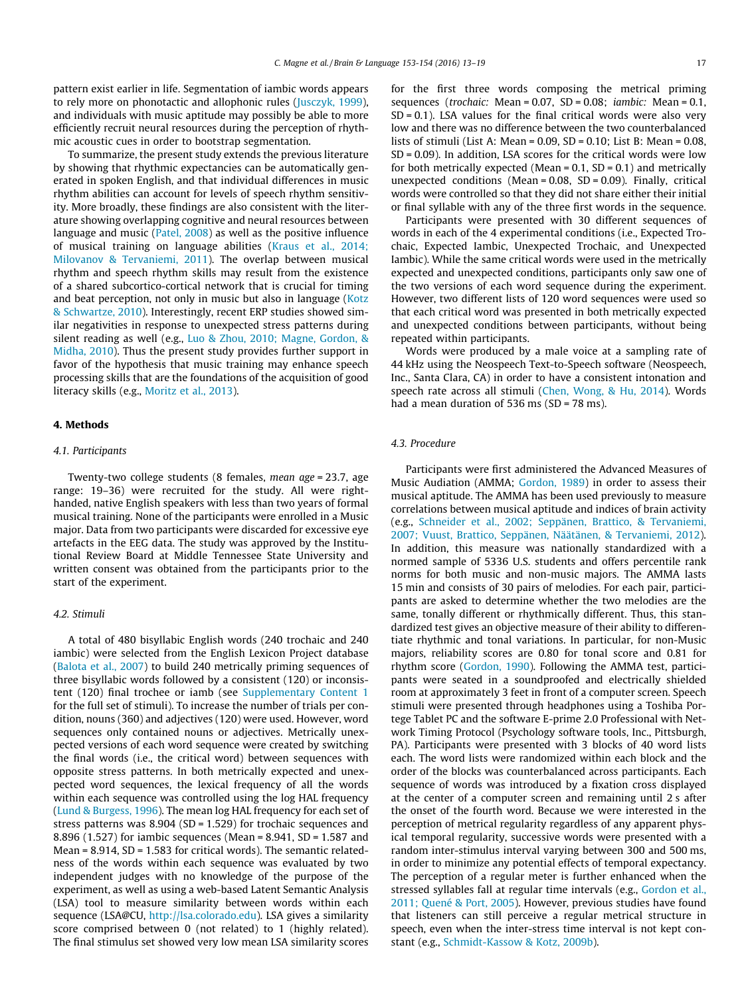pattern exist earlier in life. Segmentation of iambic words appears to rely more on phonotactic and allophonic rules ([Jusczyk, 1999\)](#page-5-0), and individuals with music aptitude may possibly be able to more efficiently recruit neural resources during the perception of rhythmic acoustic cues in order to bootstrap segmentation.

To summarize, the present study extends the previous literature by showing that rhythmic expectancies can be automatically generated in spoken English, and that individual differences in music rhythm abilities can account for levels of speech rhythm sensitivity. More broadly, these findings are also consistent with the literature showing overlapping cognitive and neural resources between language and music [\(Patel, 2008](#page-6-0)) as well as the positive influence of musical training on language abilities ([Kraus et al., 2014;](#page-6-0) [Milovanov & Tervaniemi, 2011\)](#page-6-0). The overlap between musical rhythm and speech rhythm skills may result from the existence of a shared subcortico-cortical network that is crucial for timing and beat perception, not only in music but also in language ([Kotz](#page-5-0) [& Schwartze, 2010\)](#page-5-0). Interestingly, recent ERP studies showed similar negativities in response to unexpected stress patterns during silent reading as well (e.g., [Luo & Zhou, 2010; Magne, Gordon, &](#page-6-0) [Midha, 2010](#page-6-0)). Thus the present study provides further support in favor of the hypothesis that music training may enhance speech processing skills that are the foundations of the acquisition of good literacy skills (e.g., [Moritz et al., 2013](#page-6-0)).

#### 4. Methods

#### 4.1. Participants

Twenty-two college students (8 females, mean age = 23.7, age range: 19–36) were recruited for the study. All were righthanded, native English speakers with less than two years of formal musical training. None of the participants were enrolled in a Music major. Data from two participants were discarded for excessive eye artefacts in the EEG data. The study was approved by the Institutional Review Board at Middle Tennessee State University and written consent was obtained from the participants prior to the start of the experiment.

#### 4.2. Stimuli

A total of 480 bisyllabic English words (240 trochaic and 240 iambic) were selected from the English Lexicon Project database ([Balota et al., 2007\)](#page-5-0) to build 240 metrically priming sequences of three bisyllabic words followed by a consistent (120) or inconsistent (120) final trochee or iamb (see Supplementary Content 1 for the full set of stimuli). To increase the number of trials per condition, nouns (360) and adjectives (120) were used. However, word sequences only contained nouns or adjectives. Metrically unexpected versions of each word sequence were created by switching the final words (i.e., the critical word) between sequences with opposite stress patterns. In both metrically expected and unexpected word sequences, the lexical frequency of all the words within each sequence was controlled using the log HAL frequency ([Lund & Burgess, 1996\)](#page-6-0). The mean log HAL frequency for each set of stress patterns was 8.904 (SD = 1.529) for trochaic sequences and 8.896 (1.527) for iambic sequences (Mean = 8.941, SD = 1.587 and Mean = 8.914, SD = 1.583 for critical words). The semantic relatedness of the words within each sequence was evaluated by two independent judges with no knowledge of the purpose of the experiment, as well as using a web-based Latent Semantic Analysis (LSA) tool to measure similarity between words within each sequence (LSA@CU, <http://lsa.colorado.edu>). LSA gives a similarity score comprised between 0 (not related) to 1 (highly related). The final stimulus set showed very low mean LSA similarity scores for the first three words composing the metrical priming sequences (*trochaic:* Mean =  $0.07$ . SD =  $0.08$ : *iambic:* Mean =  $0.1$ .  $SD = 0.1$ ). LSA values for the final critical words were also very low and there was no difference between the two counterbalanced lists of stimuli (List A: Mean = 0.09, SD = 0.10; List B: Mean = 0.08, SD = 0.09). In addition, LSA scores for the critical words were low for both metrically expected (Mean =  $0.1$ , SD =  $0.1$ ) and metrically unexpected conditions (Mean = 0.08, SD = 0.09). Finally, critical words were controlled so that they did not share either their initial or final syllable with any of the three first words in the sequence.

Participants were presented with 30 different sequences of words in each of the 4 experimental conditions (i.e., Expected Trochaic, Expected Iambic, Unexpected Trochaic, and Unexpected Iambic). While the same critical words were used in the metrically expected and unexpected conditions, participants only saw one of the two versions of each word sequence during the experiment. However, two different lists of 120 word sequences were used so that each critical word was presented in both metrically expected and unexpected conditions between participants, without being repeated within participants.

Words were produced by a male voice at a sampling rate of 44 kHz using the Neospeech Text-to-Speech software (Neospeech, Inc., Santa Clara, CA) in order to have a consistent intonation and speech rate across all stimuli [\(Chen, Wong, & Hu, 2014](#page-5-0)). Words had a mean duration of 536 ms (SD = 78 ms).

#### 4.3. Procedure

Participants were first administered the Advanced Measures of Music Audiation (AMMA; [Gordon, 1989\)](#page-5-0) in order to assess their musical aptitude. The AMMA has been used previously to measure correlations between musical aptitude and indices of brain activity (e.g., [Schneider et al., 2002; Seppänen, Brattico, & Tervaniemi,](#page-6-0) [2007; Vuust, Brattico, Seppänen, Näätänen, & Tervaniemi, 2012\)](#page-6-0). In addition, this measure was nationally standardized with a normed sample of 5336 U.S. students and offers percentile rank norms for both music and non-music majors. The AMMA lasts 15 min and consists of 30 pairs of melodies. For each pair, participants are asked to determine whether the two melodies are the same, tonally different or rhythmically different. Thus, this standardized test gives an objective measure of their ability to differentiate rhythmic and tonal variations. In particular, for non-Music majors, reliability scores are 0.80 for tonal score and 0.81 for rhythm score [\(Gordon, 1990\)](#page-5-0). Following the AMMA test, participants were seated in a soundproofed and electrically shielded room at approximately 3 feet in front of a computer screen. Speech stimuli were presented through headphones using a Toshiba Portege Tablet PC and the software E-prime 2.0 Professional with Network Timing Protocol (Psychology software tools, Inc., Pittsburgh, PA). Participants were presented with 3 blocks of 40 word lists each. The word lists were randomized within each block and the order of the blocks was counterbalanced across participants. Each sequence of words was introduced by a fixation cross displayed at the center of a computer screen and remaining until 2 s after the onset of the fourth word. Because we were interested in the perception of metrical regularity regardless of any apparent physical temporal regularity, successive words were presented with a random inter-stimulus interval varying between 300 and 500 ms, in order to minimize any potential effects of temporal expectancy. The perception of a regular meter is further enhanced when the stressed syllables fall at regular time intervals (e.g., [Gordon et al.,](#page-5-0) [2011; Quené & Port, 2005\)](#page-5-0). However, previous studies have found that listeners can still perceive a regular metrical structure in speech, even when the inter-stress time interval is not kept constant (e.g., [Schmidt-Kassow & Kotz, 2009b](#page-6-0)).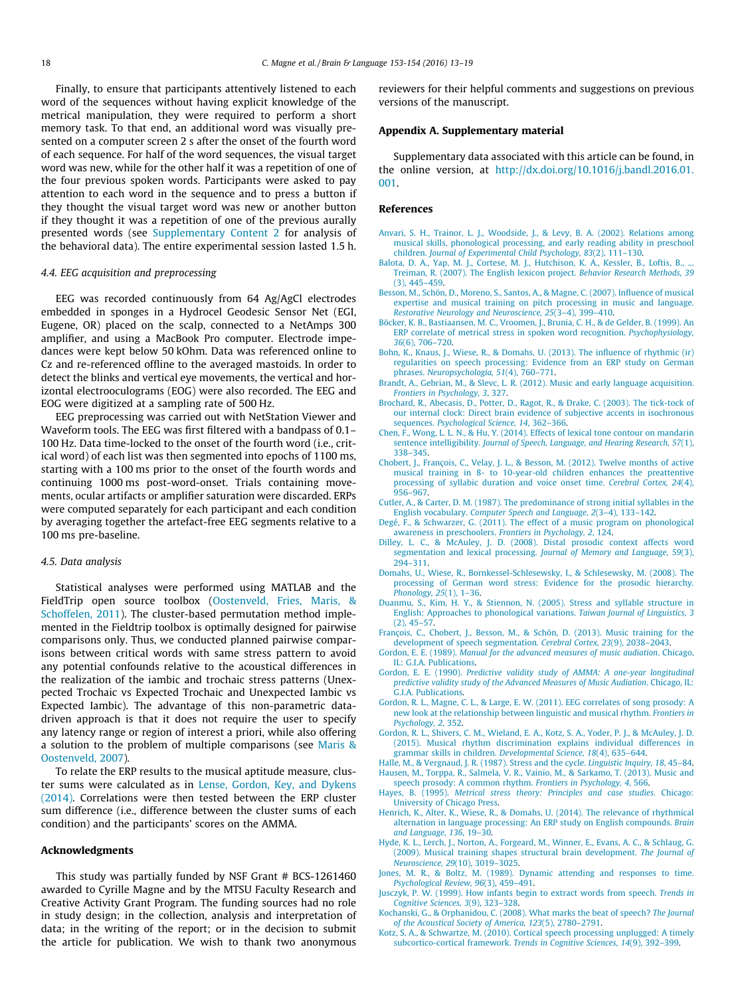<span id="page-5-0"></span>Finally, to ensure that participants attentively listened to each word of the sequences without having explicit knowledge of the metrical manipulation, they were required to perform a short memory task. To that end, an additional word was visually presented on a computer screen 2 s after the onset of the fourth word of each sequence. For half of the word sequences, the visual target word was new, while for the other half it was a repetition of one of the four previous spoken words. Participants were asked to pay attention to each word in the sequence and to press a button if they thought the visual target word was new or another button if they thought it was a repetition of one of the previous aurally presented words (see Supplementary Content 2 for analysis of the behavioral data). The entire experimental session lasted 1.5 h.

#### 4.4. EEG acquisition and preprocessing

EEG was recorded continuously from 64 Ag/AgCl electrodes embedded in sponges in a Hydrocel Geodesic Sensor Net (EGI, Eugene, OR) placed on the scalp, connected to a NetAmps 300 amplifier, and using a MacBook Pro computer. Electrode impedances were kept below 50 kOhm. Data was referenced online to Cz and re-referenced offline to the averaged mastoids. In order to detect the blinks and vertical eye movements, the vertical and horizontal electrooculograms (EOG) were also recorded. The EEG and EOG were digitized at a sampling rate of 500 Hz.

EEG preprocessing was carried out with NetStation Viewer and Waveform tools. The EEG was first filtered with a bandpass of 0.1– 100 Hz. Data time-locked to the onset of the fourth word (i.e., critical word) of each list was then segmented into epochs of 1100 ms, starting with a 100 ms prior to the onset of the fourth words and continuing 1000 ms post-word-onset. Trials containing movements, ocular artifacts or amplifier saturation were discarded. ERPs were computed separately for each participant and each condition by averaging together the artefact-free EEG segments relative to a 100 ms pre-baseline.

#### 4.5. Data analysis

Statistical analyses were performed using MATLAB and the FieldTrip open source toolbox ([Oostenveld, Fries, Maris, &](#page-6-0) [Schoffelen, 2011\)](#page-6-0). The cluster-based permutation method implemented in the Fieldtrip toolbox is optimally designed for pairwise comparisons only. Thus, we conducted planned pairwise comparisons between critical words with same stress pattern to avoid any potential confounds relative to the acoustical differences in the realization of the iambic and trochaic stress patterns (Unexpected Trochaic vs Expected Trochaic and Unexpected Iambic vs Expected Iambic). The advantage of this non-parametric datadriven approach is that it does not require the user to specify any latency range or region of interest a priori, while also offering a solution to the problem of multiple comparisons (see [Maris &](#page-6-0) [Oostenveld, 2007](#page-6-0)).

To relate the ERP results to the musical aptitude measure, cluster sums were calculated as in [Lense, Gordon, Key, and Dykens](#page-6-0) [\(2014\).](#page-6-0) Correlations were then tested between the ERP cluster sum difference (i.e., difference between the cluster sums of each condition) and the participants' scores on the AMMA.

#### Acknowledgments

This study was partially funded by NSF Grant # BCS-1261460 awarded to Cyrille Magne and by the MTSU Faculty Research and Creative Activity Grant Program. The funding sources had no role in study design; in the collection, analysis and interpretation of data; in the writing of the report; or in the decision to submit the article for publication. We wish to thank two anonymous reviewers for their helpful comments and suggestions on previous versions of the manuscript.

#### Appendix A. Supplementary material

Supplementary data associated with this article can be found, in the online version, at [http://dx.doi.org/10.1016/j.bandl.2016.01.](http://dx.doi.org/10.1016/j.bandl.2016.01.001) [001.](http://dx.doi.org/10.1016/j.bandl.2016.01.001)

# References

- [Anvari, S. H., Trainor, L. J., Woodside, J., & Levy, B. A. \(2002\). Relations among](http://refhub.elsevier.com/S0093-934X(16)00002-X/h0005) [musical skills, phonological processing, and early reading ability in preschool](http://refhub.elsevier.com/S0093-934X(16)00002-X/h0005) children. [Journal of Experimental Child Psychology, 83](http://refhub.elsevier.com/S0093-934X(16)00002-X/h0005)(2), 111–130.
- Balota, D. A., Yap, M. J., Cortese, M. J., Hutchison, K. A., Kessler, B., Loftis, B., [Treiman, R. \(2007\). The English lexicon project.](http://refhub.elsevier.com/S0093-934X(16)00002-X/h0010) Behavior Research Methods, 39 [\(3\), 445–459.](http://refhub.elsevier.com/S0093-934X(16)00002-X/h0010)
- [Besson, M., Schön, D., Moreno, S., Santos, A., & Magne, C. \(2007\). Influence of musical](http://refhub.elsevier.com/S0093-934X(16)00002-X/h0015) [expertise and musical training on pitch processing in music and language.](http://refhub.elsevier.com/S0093-934X(16)00002-X/h0015) [Restorative Neurology and Neuroscience, 25](http://refhub.elsevier.com/S0093-934X(16)00002-X/h0015)(3–4), 399–410.
- [Böcker, K. B., Bastiaansen, M. C., Vroomen, J., Brunia, C. H., & de Gelder, B. \(1999\). An](http://refhub.elsevier.com/S0093-934X(16)00002-X/h0020) [ERP correlate of metrical stress in spoken word recognition.](http://refhub.elsevier.com/S0093-934X(16)00002-X/h0020) Psychophysiology, 36[\(6\), 706–720.](http://refhub.elsevier.com/S0093-934X(16)00002-X/h0020)
- [Bohn, K., Knaus, J., Wiese, R., & Domahs, U. \(2013\). The influence of rhythmic \(ir\)](http://refhub.elsevier.com/S0093-934X(16)00002-X/h0025) [regularities on speech processing: Evidence from an ERP study on German](http://refhub.elsevier.com/S0093-934X(16)00002-X/h0025) phrases. [Neuropsychologia, 51](http://refhub.elsevier.com/S0093-934X(16)00002-X/h0025)(4), 760–771.
- [Brandt, A., Gebrian, M., & Slevc, L. R. \(2012\). Music and early language acquisition.](http://refhub.elsevier.com/S0093-934X(16)00002-X/h0030) [Frontiers in Psychology, 3](http://refhub.elsevier.com/S0093-934X(16)00002-X/h0030), 327.
- [Brochard, R., Abecasis, D., Potter, D., Ragot, R., & Drake, C. \(2003\). The tick-tock of](http://refhub.elsevier.com/S0093-934X(16)00002-X/h0035) [our internal clock: Direct brain evidence of subjective accents in isochronous](http://refhub.elsevier.com/S0093-934X(16)00002-X/h0035) sequences. [Psychological Science, 14](http://refhub.elsevier.com/S0093-934X(16)00002-X/h0035), 362–366.
- [Chen, F., Wong, L. L. N., & Hu, Y. \(2014\). Effects of lexical tone contour on mandarin](http://refhub.elsevier.com/S0093-934X(16)00002-X/h0040) sentence intelligibility. [Journal of Speech, Language, and Hearing Research, 57](http://refhub.elsevier.com/S0093-934X(16)00002-X/h0040)(1), [338–345](http://refhub.elsevier.com/S0093-934X(16)00002-X/h0040).
- [Chobert, J., François, C., Velay, J. L., & Besson, M. \(2012\). Twelve months of active](http://refhub.elsevier.com/S0093-934X(16)00002-X/h0045) [musical training in 8- to 10-year-old children enhances the preattentive](http://refhub.elsevier.com/S0093-934X(16)00002-X/h0045) [processing of syllabic duration and voice onset time.](http://refhub.elsevier.com/S0093-934X(16)00002-X/h0045) Cerebral Cortex, 24(4), [956–967](http://refhub.elsevier.com/S0093-934X(16)00002-X/h0045).
- [Cutler, A., & Carter, D. M. \(1987\). The predominance of strong initial syllables in the](http://refhub.elsevier.com/S0093-934X(16)00002-X/h0050) English vocabulary. [Computer Speech and Language, 2](http://refhub.elsevier.com/S0093-934X(16)00002-X/h0050)(3–4), 133–142.
- [Degé, F., & Schwarzer, G. \(2011\). The effect of a music program on phonological](http://refhub.elsevier.com/S0093-934X(16)00002-X/h0055) [awareness in preschoolers.](http://refhub.elsevier.com/S0093-934X(16)00002-X/h0055) Frontiers in Psychology, 2, 124.
- [Dilley, L. C., & McAuley, J. D. \(2008\). Distal prosodic context affects word](http://refhub.elsevier.com/S0093-934X(16)00002-X/h0060) [segmentation and lexical processing.](http://refhub.elsevier.com/S0093-934X(16)00002-X/h0060) Journal of Memory and Language, 59(3), [294–311](http://refhub.elsevier.com/S0093-934X(16)00002-X/h0060).
- [Domahs, U., Wiese, R., Bornkessel-Schlesewsky, I., & Schlesewsky, M. \(2008\). The](http://refhub.elsevier.com/S0093-934X(16)00002-X/h0065) [processing of German word stress: Evidence for the prosodic hierarchy.](http://refhub.elsevier.com/S0093-934X(16)00002-X/h0065) [Phonology, 25](http://refhub.elsevier.com/S0093-934X(16)00002-X/h0065)(1), 1–36.
- [Duanmu, S., Kim, H. Y., & Stiennon, N. \(2005\). Stress and syllable structure in](http://refhub.elsevier.com/S0093-934X(16)00002-X/h0070) [English: Approaches to phonological variations.](http://refhub.elsevier.com/S0093-934X(16)00002-X/h0070) Taiwan Journal of Linguistics, 3  $(2)$ , 45–57 $\overline{)}$
- [François, C., Chobert, J., Besson, M., & Schön, D. \(2013\). Music training for the](http://refhub.elsevier.com/S0093-934X(16)00002-X/h0075) [development of speech segmentation.](http://refhub.elsevier.com/S0093-934X(16)00002-X/h0075) Cerebral Cortex, 23(9), 2038–2043.
- Gordon, E. E. (1989). [Manual for the advanced measures of music audiation](http://refhub.elsevier.com/S0093-934X(16)00002-X/h0080). Chicago, [IL: G.I.A. Publications](http://refhub.elsevier.com/S0093-934X(16)00002-X/h0080).
- Gordon, E. E. (1990). [Predictive validity study of AMMA: A one-year longitudinal](http://refhub.elsevier.com/S0093-934X(16)00002-X/h0085) [predictive validity study of the Advanced Measures of Music Audiation](http://refhub.elsevier.com/S0093-934X(16)00002-X/h0085). Chicago, IL: [G.I.A. Publications](http://refhub.elsevier.com/S0093-934X(16)00002-X/h0085).
- [Gordon, R. L., Magne, C. L., & Large, E. W. \(2011\). EEG correlates of song prosody: A](http://refhub.elsevier.com/S0093-934X(16)00002-X/h0090) [new look at the relationship between linguistic and musical rhythm.](http://refhub.elsevier.com/S0093-934X(16)00002-X/h0090) Frontiers in [Psychology, 2](http://refhub.elsevier.com/S0093-934X(16)00002-X/h0090), 352.
- [Gordon, R. L., Shivers, C. M., Wieland, E. A., Kotz, S. A., Yoder, P. J., & McAuley, J. D.](http://refhub.elsevier.com/S0093-934X(16)00002-X/h0095) [\(2015\). Musical rhythm discrimination explains individual differences in](http://refhub.elsevier.com/S0093-934X(16)00002-X/h0095) [grammar skills in children.](http://refhub.elsevier.com/S0093-934X(16)00002-X/h0095) Developmental Science, 18(4), 635–644.
- [Halle, M., & Vergnaud, J. R. \(1987\). Stress and the cycle.](http://refhub.elsevier.com/S0093-934X(16)00002-X/h0100) Linguistic Inquiry, 18, 45–84. [Hausen, M., Torppa, R., Salmela, V. R., Vainio, M., & Sarkamo, T. \(2013\). Music and](http://refhub.elsevier.com/S0093-934X(16)00002-X/h0105)
- [speech prosody: A common rhythm.](http://refhub.elsevier.com/S0093-934X(16)00002-X/h0105) Frontiers in Psychology, 4, 566. Hayes, B. (1995). [Metrical stress theory: Principles and case studies](http://refhub.elsevier.com/S0093-934X(16)00002-X/h0110). Chicago: [University of Chicago Press](http://refhub.elsevier.com/S0093-934X(16)00002-X/h0110).
- [Henrich, K., Alter, K., Wiese, R., & Domahs, U. \(2014\). The relevance of rhythmical](http://refhub.elsevier.com/S0093-934X(16)00002-X/h0115) [alternation in language processing: An ERP study on English compounds.](http://refhub.elsevier.com/S0093-934X(16)00002-X/h0115) Brain [and Language, 136](http://refhub.elsevier.com/S0093-934X(16)00002-X/h0115), 19–30.
- [Hyde, K. L., Lerch, J., Norton, A., Forgeard, M., Winner, E., Evans, A. C., & Schlaug, G.](http://refhub.elsevier.com/S0093-934X(16)00002-X/h0120) [\(2009\). Musical training shapes structural brain development.](http://refhub.elsevier.com/S0093-934X(16)00002-X/h0120) The Journal of Neuroscience, 29[\(10\), 3019–3025.](http://refhub.elsevier.com/S0093-934X(16)00002-X/h0120)
- [Jones, M. R., & Boltz, M. \(1989\). Dynamic attending and responses to time.](http://refhub.elsevier.com/S0093-934X(16)00002-X/h0125) [Psychological Review, 96](http://refhub.elsevier.com/S0093-934X(16)00002-X/h0125)(3), 459–491.
- [Jusczyk, P. W. \(1999\). How infants begin to extract words from speech.](http://refhub.elsevier.com/S0093-934X(16)00002-X/h0130) Trends in [Cognitive Sciences, 3](http://refhub.elsevier.com/S0093-934X(16)00002-X/h0130)(9), 323–328.
- [Kochanski, G., & Orphanidou, C. \(2008\). What marks the beat of speech?](http://refhub.elsevier.com/S0093-934X(16)00002-X/h0135) The Journal [of the Acoustical Society of America, 123](http://refhub.elsevier.com/S0093-934X(16)00002-X/h0135)(5), 2780–2791.
- [Kotz, S. A., & Schwartze, M. \(2010\). Cortical speech processing unplugged: A timely](http://refhub.elsevier.com/S0093-934X(16)00002-X/h0140) [subcortico-cortical framework.](http://refhub.elsevier.com/S0093-934X(16)00002-X/h0140) Trends in Cognitive Sciences, 14(9), 392–399.